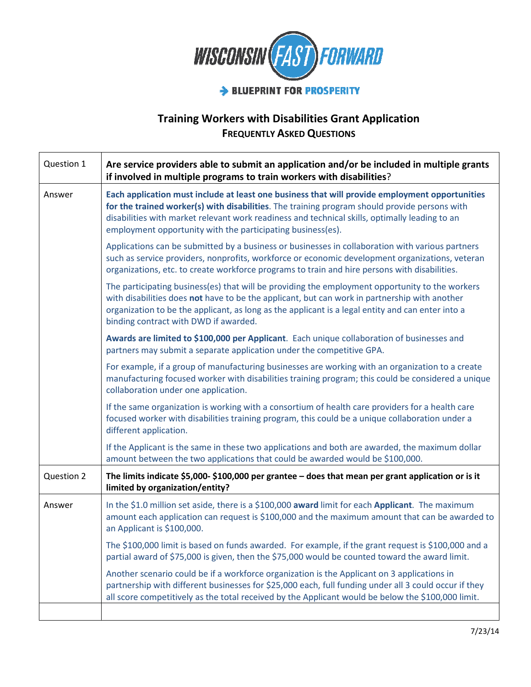

## Training Workers with Disabilities Grant Application **FREQUENTLY ASKED QUESTIONS**

| Question 1 | Are service providers able to submit an application and/or be included in multiple grants<br>if involved in multiple programs to train workers with disabilities?                                                                                                                                                                                                |
|------------|------------------------------------------------------------------------------------------------------------------------------------------------------------------------------------------------------------------------------------------------------------------------------------------------------------------------------------------------------------------|
| Answer     | Each application must include at least one business that will provide employment opportunities<br>for the trained worker(s) with disabilities. The training program should provide persons with<br>disabilities with market relevant work readiness and technical skills, optimally leading to an<br>employment opportunity with the participating business(es). |
|            | Applications can be submitted by a business or businesses in collaboration with various partners<br>such as service providers, nonprofits, workforce or economic development organizations, veteran<br>organizations, etc. to create workforce programs to train and hire persons with disabilities.                                                             |
|            | The participating business(es) that will be providing the employment opportunity to the workers<br>with disabilities does not have to be the applicant, but can work in partnership with another<br>organization to be the applicant, as long as the applicant is a legal entity and can enter into a<br>binding contract with DWD if awarded.                   |
|            | Awards are limited to \$100,000 per Applicant. Each unique collaboration of businesses and<br>partners may submit a separate application under the competitive GPA.                                                                                                                                                                                              |
|            | For example, if a group of manufacturing businesses are working with an organization to a create<br>manufacturing focused worker with disabilities training program; this could be considered a unique<br>collaboration under one application.                                                                                                                   |
|            | If the same organization is working with a consortium of health care providers for a health care<br>focused worker with disabilities training program, this could be a unique collaboration under a<br>different application.                                                                                                                                    |
|            | If the Applicant is the same in these two applications and both are awarded, the maximum dollar<br>amount between the two applications that could be awarded would be \$100,000.                                                                                                                                                                                 |
| Question 2 | The limits indicate \$5,000-\$100,000 per grantee - does that mean per grant application or is it<br>limited by organization/entity?                                                                                                                                                                                                                             |
| Answer     | In the \$1.0 million set aside, there is a \$100,000 award limit for each Applicant. The maximum<br>amount each application can request is \$100,000 and the maximum amount that can be awarded to<br>an Applicant is \$100,000.                                                                                                                                 |
|            | The \$100,000 limit is based on funds awarded. For example, if the grant request is \$100,000 and a<br>partial award of \$75,000 is given, then the \$75,000 would be counted toward the award limit.                                                                                                                                                            |
|            | Another scenario could be if a workforce organization is the Applicant on 3 applications in<br>partnership with different businesses for \$25,000 each, full funding under all 3 could occur if they<br>all score competitively as the total received by the Applicant would be below the \$100,000 limit.                                                       |
|            |                                                                                                                                                                                                                                                                                                                                                                  |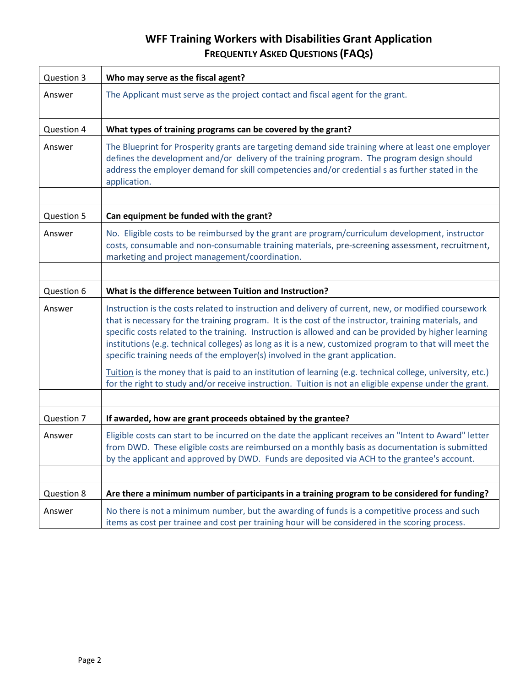## WFF Training Workers with Disabilities Grant Application FREQUENTLY ASKED QUESTIONS (FAQS)

| Question 3 | Who may serve as the fiscal agent?                                                                                                                                                                                                                                                                                                                                                                                                                                                                                 |
|------------|--------------------------------------------------------------------------------------------------------------------------------------------------------------------------------------------------------------------------------------------------------------------------------------------------------------------------------------------------------------------------------------------------------------------------------------------------------------------------------------------------------------------|
| Answer     | The Applicant must serve as the project contact and fiscal agent for the grant.                                                                                                                                                                                                                                                                                                                                                                                                                                    |
|            |                                                                                                                                                                                                                                                                                                                                                                                                                                                                                                                    |
| Question 4 | What types of training programs can be covered by the grant?                                                                                                                                                                                                                                                                                                                                                                                                                                                       |
| Answer     | The Blueprint for Prosperity grants are targeting demand side training where at least one employer<br>defines the development and/or delivery of the training program. The program design should<br>address the employer demand for skill competencies and/or credential s as further stated in the<br>application.                                                                                                                                                                                                |
| Question 5 | Can equipment be funded with the grant?                                                                                                                                                                                                                                                                                                                                                                                                                                                                            |
| Answer     | No. Eligible costs to be reimbursed by the grant are program/curriculum development, instructor<br>costs, consumable and non-consumable training materials, pre-screening assessment, recruitment,<br>marketing and project management/coordination.                                                                                                                                                                                                                                                               |
|            |                                                                                                                                                                                                                                                                                                                                                                                                                                                                                                                    |
| Question 6 | What is the difference between Tuition and Instruction?                                                                                                                                                                                                                                                                                                                                                                                                                                                            |
| Answer     | Instruction is the costs related to instruction and delivery of current, new, or modified coursework<br>that is necessary for the training program. It is the cost of the instructor, training materials, and<br>specific costs related to the training. Instruction is allowed and can be provided by higher learning<br>institutions (e.g. technical colleges) as long as it is a new, customized program to that will meet the<br>specific training needs of the employer(s) involved in the grant application. |
|            | Tuition is the money that is paid to an institution of learning (e.g. technical college, university, etc.)<br>for the right to study and/or receive instruction. Tuition is not an eligible expense under the grant.                                                                                                                                                                                                                                                                                               |
|            |                                                                                                                                                                                                                                                                                                                                                                                                                                                                                                                    |
| Question 7 | If awarded, how are grant proceeds obtained by the grantee?                                                                                                                                                                                                                                                                                                                                                                                                                                                        |
| Answer     | Eligible costs can start to be incurred on the date the applicant receives an "Intent to Award" letter<br>from DWD. These eligible costs are reimbursed on a monthly basis as documentation is submitted<br>by the applicant and approved by DWD. Funds are deposited via ACH to the grantee's account.                                                                                                                                                                                                            |
|            |                                                                                                                                                                                                                                                                                                                                                                                                                                                                                                                    |
| Question 8 | Are there a minimum number of participants in a training program to be considered for funding?                                                                                                                                                                                                                                                                                                                                                                                                                     |
| Answer     | No there is not a minimum number, but the awarding of funds is a competitive process and such<br>items as cost per trainee and cost per training hour will be considered in the scoring process.                                                                                                                                                                                                                                                                                                                   |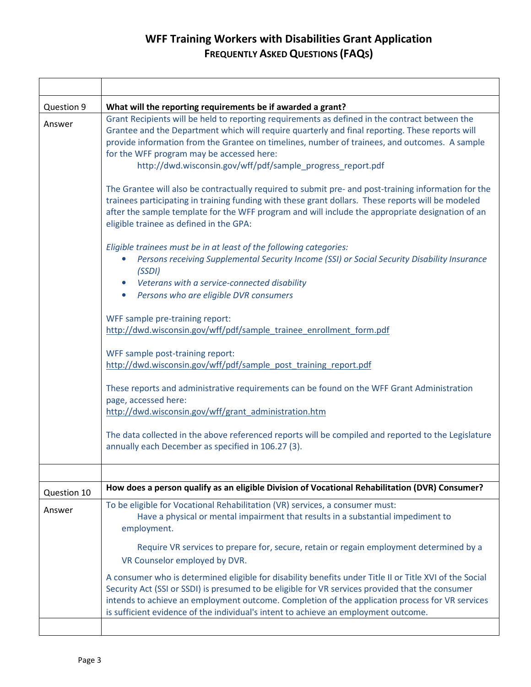## WFF Training Workers with Disabilities Grant Application FREQUENTLY ASKED QUESTIONS (FAQS)

| Question 9  | What will the reporting requirements be if awarded a grant?                                                                                                                                                                                                                                                                                                                                                    |
|-------------|----------------------------------------------------------------------------------------------------------------------------------------------------------------------------------------------------------------------------------------------------------------------------------------------------------------------------------------------------------------------------------------------------------------|
| Answer      | Grant Recipients will be held to reporting requirements as defined in the contract between the<br>Grantee and the Department which will require quarterly and final reporting. These reports will<br>provide information from the Grantee on timelines, number of trainees, and outcomes. A sample<br>for the WFF program may be accessed here:<br>http://dwd.wisconsin.gov/wff/pdf/sample_progress_report.pdf |
|             | The Grantee will also be contractually required to submit pre- and post-training information for the<br>trainees participating in training funding with these grant dollars. These reports will be modeled<br>after the sample template for the WFF program and will include the appropriate designation of an<br>eligible trainee as defined in the GPA:                                                      |
|             | Eligible trainees must be in at least of the following categories:<br>Persons receiving Supplemental Security Income (SSI) or Social Security Disability Insurance<br>(SSDI)<br>Veterans with a service-connected disability<br>Persons who are eligible DVR consumers                                                                                                                                         |
|             | WFF sample pre-training report:<br>http://dwd.wisconsin.gov/wff/pdf/sample_trainee_enrollment_form.pdf                                                                                                                                                                                                                                                                                                         |
|             | WFF sample post-training report:<br>http://dwd.wisconsin.gov/wff/pdf/sample post training report.pdf                                                                                                                                                                                                                                                                                                           |
|             | These reports and administrative requirements can be found on the WFF Grant Administration<br>page, accessed here:<br>http://dwd.wisconsin.gov/wff/grant_administration.htm                                                                                                                                                                                                                                    |
|             | The data collected in the above referenced reports will be compiled and reported to the Legislature<br>annually each December as specified in 106.27 (3).                                                                                                                                                                                                                                                      |
|             |                                                                                                                                                                                                                                                                                                                                                                                                                |
| Question 10 | How does a person qualify as an eligible Division of Vocational Rehabilitation (DVR) Consumer?                                                                                                                                                                                                                                                                                                                 |
| Answer      | To be eligible for Vocational Rehabilitation (VR) services, a consumer must:<br>Have a physical or mental impairment that results in a substantial impediment to<br>employment.                                                                                                                                                                                                                                |
|             | Require VR services to prepare for, secure, retain or regain employment determined by a<br>VR Counselor employed by DVR.                                                                                                                                                                                                                                                                                       |
|             | A consumer who is determined eligible for disability benefits under Title II or Title XVI of the Social<br>Security Act (SSI or SSDI) is presumed to be eligible for VR services provided that the consumer<br>intends to achieve an employment outcome. Completion of the application process for VR services<br>is sufficient evidence of the individual's intent to achieve an employment outcome.          |
|             |                                                                                                                                                                                                                                                                                                                                                                                                                |